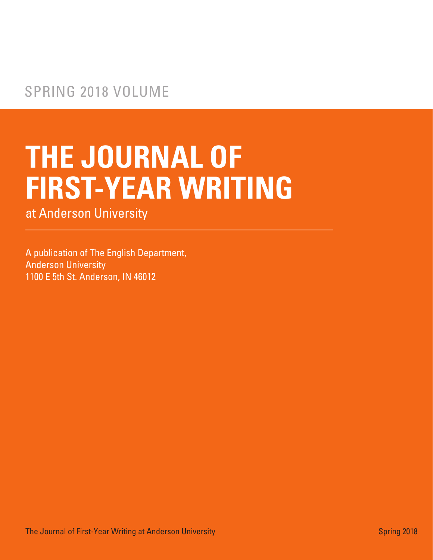# **THE JOURNAL OF FIRST-YEAR WRITING**

at Anderson University

A publication of The English Department, Anderson University 1100 E 5th St. Anderson, IN 46012

The Journal of First-Year Writing at Anderson University Spring 2018 and Spring 2018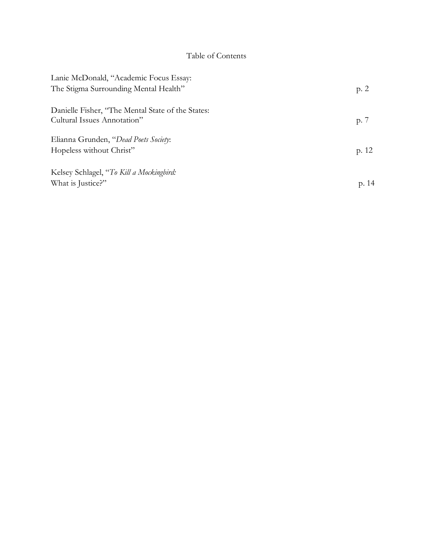## Table of Contents

| Lanie McDonald, "Academic Focus Essay:            |               |
|---------------------------------------------------|---------------|
| The Stigma Surrounding Mental Health"             | p. 2          |
| Danielle Fisher, "The Mental State of the States: |               |
| Cultural Issues Annotation"                       | p. $\sqrt{ }$ |
| Elianna Grunden, "Dead Poets Society:             |               |
| Hopeless without Christ"                          | p. 12         |
| Kelsey Schlagel, "To Kill a Mockingbird:          |               |
| What is Justice?"                                 | p. 14         |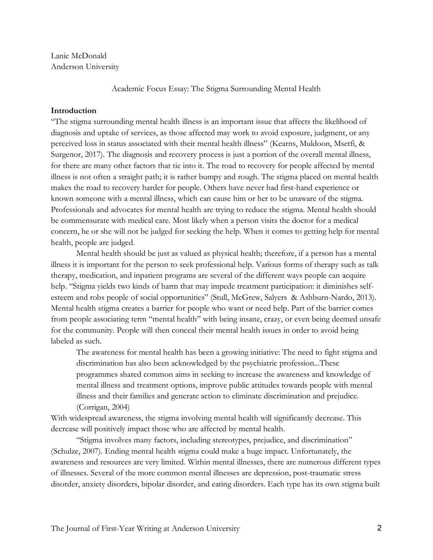Lanie McDonald Anderson University

Academic Focus Essay: The Stigma Surrounding Mental Health

## **Introduction**

"The stigma surrounding mental health illness is an important issue that affects the likelihood of diagnosis and uptake of services, as those affected may work to avoid exposure, judgment, or any perceived loss in status associated with their mental health illness" (Kearns, Muldoon, Msetfi, & Surgenor, 2017). The diagnosis and recovery process is just a portion of the overall mental illness, for there are many other factors that tie into it. The road to recovery for people affected by mental illness is not often a straight path; it is rather bumpy and rough. The stigma placed on mental health makes the road to recovery harder for people. Others have never had first-hand experience or known someone with a mental illness, which can cause him or her to be unaware of the stigma. Professionals and advocates for mental health are trying to reduce the stigma. Mental health should be commensurate with medical care. Most likely when a person visits the doctor for a medical concern, he or she will not be judged for seeking the help. When it comes to getting help for mental health, people are judged.

Mental health should be just as valued as physical health; therefore, if a person has a mental illness it is important for the person to seek professional help. Various forms of therapy such as talk therapy, medication, and inpatient programs are several of the different ways people can acquire help. "Stigma yields two kinds of harm that may impede treatment participation: it diminishes selfesteem and robs people of social opportunities" (Stull, McGrew, Salyers & Ashburn-Nardo, 2013). Mental health stigma creates a barrier for people who want or need help. Part of the barrier comes from people associating term "mental health" with being insane, crazy, or even being deemed unsafe for the community. People will then conceal their mental health issues in order to avoid being labeled as such.

The awareness for mental health has been a growing initiative: The need to fight stigma and discrimination has also been acknowledged by the psychiatric profession...These programmes shared common aims in seeking to increase the awareness and knowledge of mental illness and treatment options, improve public attitudes towards people with mental illness and their families and generate action to eliminate discrimination and prejudice. (Corrigan, 2004)

With widespread awareness, the stigma involving mental health will significantly decrease. This decrease will positively impact those who are affected by mental health.

"Stigma involves many factors, including stereotypes, prejudice, and discrimination" (Schulze, 2007). Ending mental health stigma could make a huge impact. Unfortunately, the awareness and resources are very limited. Within mental illnesses, there are numerous different types of illnesses. Several of the more common mental illnesses are depression, post-traumatic stress disorder, anxiety disorders, bipolar disorder, and eating disorders. Each type has its own stigma built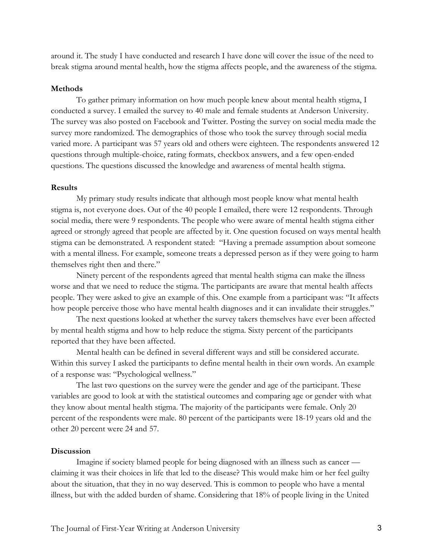around it. The study I have conducted and research I have done will cover the issue of the need to break stigma around mental health, how the stigma affects people, and the awareness of the stigma.

#### **Methods**

To gather primary information on how much people knew about mental health stigma, I conducted a survey. I emailed the survey to 40 male and female students at Anderson University. The survey was also posted on Facebook and Twitter. Posting the survey on social media made the survey more randomized. The demographics of those who took the survey through social media varied more. A participant was 57 years old and others were eighteen. The respondents answered 12 questions through multiple-choice, rating formats, checkbox answers, and a few open-ended questions. The questions discussed the knowledge and awareness of mental health stigma.

## **Results**

My primary study results indicate that although most people know what mental health stigma is, not everyone does. Out of the 40 people I emailed, there were 12 respondents. Through social media, there were 9 respondents. The people who were aware of mental health stigma either agreed or strongly agreed that people are affected by it. One question focused on ways mental health stigma can be demonstrated. A respondent stated: "Having a premade assumption about someone with a mental illness. For example, someone treats a depressed person as if they were going to harm themselves right then and there."

Ninety percent of the respondents agreed that mental health stigma can make the illness worse and that we need to reduce the stigma. The participants are aware that mental health affects people. They were asked to give an example of this. One example from a participant was: "It affects how people perceive those who have mental health diagnoses and it can invalidate their struggles."

The next questions looked at whether the survey takers themselves have ever been affected by mental health stigma and how to help reduce the stigma. Sixty percent of the participants reported that they have been affected.

Mental health can be defined in several different ways and still be considered accurate. Within this survey I asked the participants to define mental health in their own words. An example of a response was: "Psychological wellness."

The last two questions on the survey were the gender and age of the participant. These variables are good to look at with the statistical outcomes and comparing age or gender with what they know about mental health stigma. The majority of the participants were female. Only 20 percent of the respondents were male. 80 percent of the participants were 18-19 years old and the other 20 percent were 24 and 57.

## **Discussion**

Imagine if society blamed people for being diagnosed with an illness such as cancer claiming it was their choices in life that led to the disease? This would make him or her feel guilty about the situation, that they in no way deserved. This is common to people who have a mental illness, but with the added burden of shame. Considering that 18% of people living in the United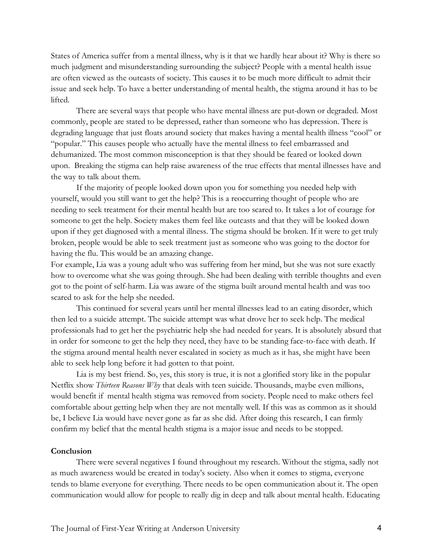States of America suffer from a mental illness, why is it that we hardly hear about it? Why is there so much judgment and misunderstanding surrounding the subject? People with a mental health issue are often viewed as the outcasts of society. This causes it to be much more difficult to admit their issue and seek help. To have a better understanding of mental health, the stigma around it has to be lifted.

There are several ways that people who have mental illness are put-down or degraded. Most commonly, people are stated to be depressed, rather than someone who has depression. There is degrading language that just floats around society that makes having a mental health illness "cool" or "popular." This causes people who actually have the mental illness to feel embarrassed and dehumanized. The most common misconception is that they should be feared or looked down upon. Breaking the stigma can help raise awareness of the true effects that mental illnesses have and the way to talk about them.

If the majority of people looked down upon you for something you needed help with yourself, would you still want to get the help? This is a reoccurring thought of people who are needing to seek treatment for their mental health but are too scared to. It takes a lot of courage for someone to get the help. Society makes them feel like outcasts and that they will be looked down upon if they get diagnosed with a mental illness. The stigma should be broken. If it were to get truly broken, people would be able to seek treatment just as someone who was going to the doctor for having the flu. This would be an amazing change.

For example, Lia was a young adult who was suffering from her mind, but she was not sure exactly how to overcome what she was going through. She had been dealing with terrible thoughts and even got to the point of self-harm. Lia was aware of the stigma built around mental health and was too scared to ask for the help she needed.

This continued for several years until her mental illnesses lead to an eating disorder, which then led to a suicide attempt. The suicide attempt was what drove her to seek help. The medical professionals had to get her the psychiatric help she had needed for years. It is absolutely absurd that in order for someone to get the help they need, they have to be standing face-to-face with death. If the stigma around mental health never escalated in society as much as it has, she might have been able to seek help long before it had gotten to that point.

Lia is my best friend. So, yes, this story is true, it is not a glorified story like in the popular Netflix show *Thirteen Reasons Why* that deals with teen suicide. Thousands, maybe even millions, would benefit if mental health stigma was removed from society. People need to make others feel comfortable about getting help when they are not mentally well. If this was as common as it should be, I believe Lia would have never gone as far as she did. After doing this research, I can firmly confirm my belief that the mental health stigma is a major issue and needs to be stopped.

## **Conclusion**

There were several negatives I found throughout my research. Without the stigma, sadly not as much awareness would be created in today's society. Also when it comes to stigma, everyone tends to blame everyone for everything. There needs to be open communication about it. The open communication would allow for people to really dig in deep and talk about mental health. Educating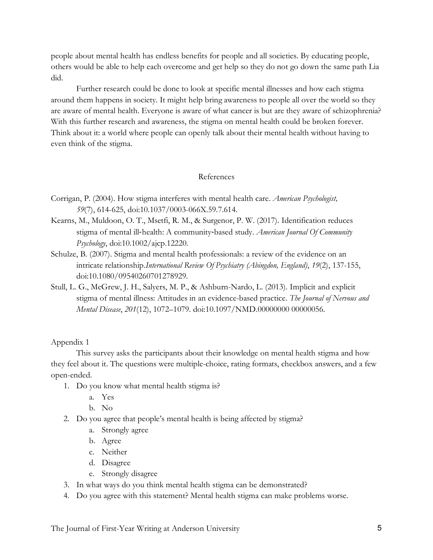people about mental health has endless benefits for people and all societies. By educating people, others would be able to help each overcome and get help so they do not go down the same path Lia did.

Further research could be done to look at specific mental illnesses and how each stigma around them happens in society. It might help bring awareness to people all over the world so they are aware of mental health. Everyone is aware of what cancer is but are they aware of schizophrenia? With this further research and awareness, the stigma on mental health could be broken forever. Think about it: a world where people can openly talk about their mental health without having to even think of the stigma.

## References

- Corrigan, P. (2004). How stigma interferes with mental health care. *American Psychologist, 59*(7), 614-625, doi:10.1037/0003-066X.59.7.614.
- Kearns, M., Muldoon, O. T., Msetfi, R. M., & Surgenor, P. W. (2017). Identification reduces stigma of mental ill-health: A community-based study. *American Journal Of Community Psychology*, doi:10.1002/ajcp.12220.
- Schulze, B. (2007). Stigma and mental health professionals: a review of the evidence on an intricate relationship.*International Review Of Psychiatry (Abingdon, England)*, *19*(2), 137-155, doi:10.1080/09540260701278929.
- Stull, L. G., McGrew, J. H., Salyers, M. P., & Ashburn-Nardo, L. (2013). Implicit and explicit stigma of mental illness: Attitudes in an evidence-based practice. *The Journal of Nervous and Mental Disease*, *201*(12), 1072–1079. doi:10.1097/NMD.00000000 00000056.

## Appendix 1

This survey asks the participants about their knowledge on mental health stigma and how they feel about it. The questions were multiple-choice, rating formats, checkbox answers, and a few open-ended.

- 1. Do you know what mental health stigma is?
	- a. Yes
	- b. No
- 2. Do you agree that people's mental health is being affected by stigma?
	- a. Strongly agree
	- b. Agree
	- c. Neither
	- d. Disagree
	- e. Strongly disagree
- 3. In what ways do you think mental health stigma can be demonstrated?
- 4. Do you agree with this statement? Mental health stigma can make problems worse.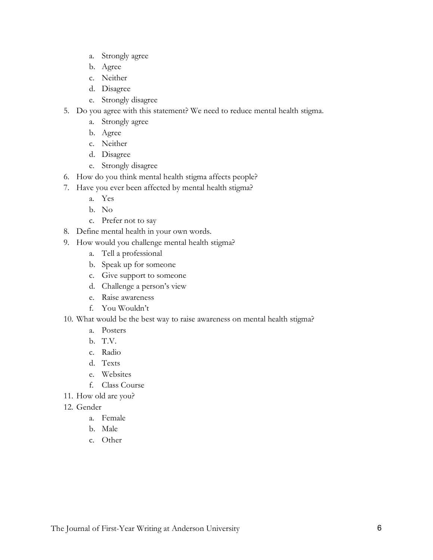- a. Strongly agree
- b. Agree
- c. Neither
- d. Disagree
- e. Strongly disagree
- 5. Do you agree with this statement? We need to reduce mental health stigma.
	- a. Strongly agree
	- b. Agree
	- c. Neither
	- d. Disagree
	- e. Strongly disagree
- 6. How do you think mental health stigma affects people?
- 7. Have you ever been affected by mental health stigma?
	- a. Yes
	- b. No
	- c. Prefer not to say
- 8. Define mental health in your own words.
- 9. How would you challenge mental health stigma?
	- a. Tell a professional
	- b. Speak up for someone
	- c. Give support to someone
	- d. Challenge a person's view
	- e. Raise awareness
	- f. You Wouldn't
- 10. What would be the best way to raise awareness on mental health stigma?
	- a. Posters
	- b. T.V.
	- c. Radio
	- d. Texts
	- e. Websites
	- f. Class Course
- 11. How old are you?
- 12. Gender
	- a. Female
	- b. Male
	- c. Other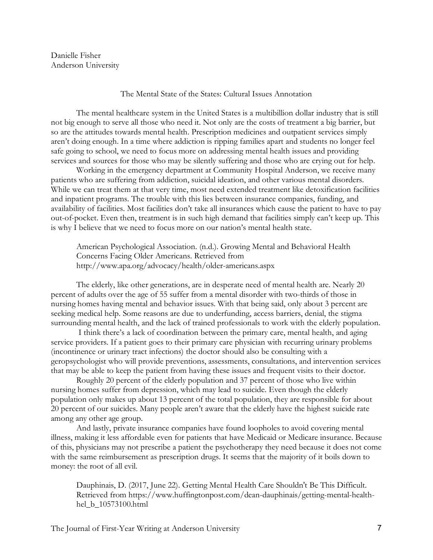Danielle Fisher Anderson University

## The Mental State of the States: Cultural Issues Annotation

The mental healthcare system in the United States is a multibillion dollar industry that is still not big enough to serve all those who need it. Not only are the costs of treatment a big barrier, but so are the attitudes towards mental health. Prescription medicines and outpatient services simply aren't doing enough. In a time where addiction is ripping families apart and students no longer feel safe going to school, we need to focus more on addressing mental health issues and providing services and sources for those who may be silently suffering and those who are crying out for help.

Working in the emergency department at Community Hospital Anderson, we receive many patients who are suffering from addiction, suicidal ideation, and other various mental disorders. While we can treat them at that very time, most need extended treatment like detoxification facilities and inpatient programs. The trouble with this lies between insurance companies, funding, and availability of facilities. Most facilities don't take all insurances which cause the patient to have to pay out-of-pocket. Even then, treatment is in such high demand that facilities simply can't keep up. This is why I believe that we need to focus more on our nation's mental health state.

American Psychological Association. (n.d.). Growing Mental and Behavioral Health Concerns Facing Older Americans. Retrieved from http://www.apa.org/advocacy/health/older-americans.aspx

The elderly, like other generations, are in desperate need of mental health are. Nearly 20 percent of adults over the age of 55 suffer from a mental disorder with two-thirds of those in nursing homes having mental and behavior issues. With that being said, only about 3 percent are seeking medical help. Some reasons are due to underfunding, access barriers, denial, the stigma surrounding mental health, and the lack of trained professionals to work with the elderly population.

I think there's a lack of coordination between the primary care, mental health, and aging service providers. If a patient goes to their primary care physician with recurring urinary problems (incontinence or urinary tract infections) the doctor should also be consulting with a geropsychologist who will provide preventions, assessments, consultations, and intervention services that may be able to keep the patient from having these issues and frequent visits to their doctor.

Roughly 20 percent of the elderly population and 37 percent of those who live within nursing homes suffer from depression, which may lead to suicide. Even though the elderly population only makes up about 13 percent of the total population, they are responsible for about 20 percent of our suicides. Many people aren't aware that the elderly have the highest suicide rate among any other age group.

And lastly, private insurance companies have found loopholes to avoid covering mental illness, making it less affordable even for patients that have Medicaid or Medicare insurance. Because of this, physicians may not prescribe a patient the psychotherapy they need because it does not come with the same reimbursement as prescription drugs. It seems that the majority of it boils down to money: the root of all evil.

Dauphinais, D. (2017, June 22). Getting Mental Health Care Shouldn't Be This Difficult. Retrieved from https://www.huffingtonpost.com/dean-dauphinais/getting-mental-healthhel\_b\_10573100.html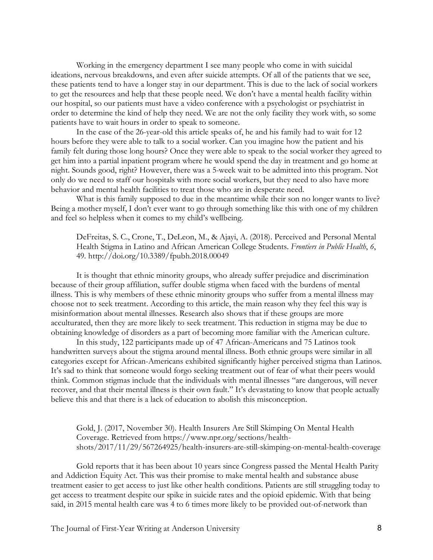Working in the emergency department I see many people who come in with suicidal ideations, nervous breakdowns, and even after suicide attempts. Of all of the patients that we see, these patients tend to have a longer stay in our department. This is due to the lack of social workers to get the resources and help that these people need. We don't have a mental health facility within our hospital, so our patients must have a video conference with a psychologist or psychiatrist in order to determine the kind of help they need. We are not the only facility they work with, so some patients have to wait hours in order to speak to someone.

In the case of the 26-year-old this article speaks of, he and his family had to wait for 12 hours before they were able to talk to a social worker. Can you imagine how the patient and his family felt during those long hours? Once they were able to speak to the social worker they agreed to get him into a partial inpatient program where he would spend the day in treatment and go home at night. Sounds good, right? However, there was a 5-week wait to be admitted into this program. Not only do we need to staff our hospitals with more social workers, but they need to also have more behavior and mental health facilities to treat those who are in desperate need.

What is this family supposed to due in the meantime while their son no longer wants to live? Being a mother myself, I don't ever want to go through something like this with one of my children and feel so helpless when it comes to my child's wellbeing.

DeFreitas, S. C., Crone, T., DeLeon, M., & Ajayi, A. (2018). Perceived and Personal Mental Health Stigma in Latino and African American College Students. *Frontiers in Public Health*, *6*, 49. http://doi.org/10.3389/fpubh.2018.00049

It is thought that ethnic minority groups, who already suffer prejudice and discrimination because of their group affiliation, suffer double stigma when faced with the burdens of mental illness. This is why members of these ethnic minority groups who suffer from a mental illness may choose not to seek treatment. According to this article, the main reason why they feel this way is misinformation about mental illnesses. Research also shows that if these groups are more acculturated, then they are more likely to seek treatment. This reduction in stigma may be due to obtaining knowledge of disorders as a part of becoming more familiar with the American culture.

In this study, 122 participants made up of 47 African-Americans and 75 Latinos took handwritten surveys about the stigma around mental illness. Both ethnic groups were similar in all categories except for African-Americans exhibited significantly higher perceived stigma than Latinos. It's sad to think that someone would forgo seeking treatment out of fear of what their peers would think. Common stigmas include that the individuals with mental illnesses "are dangerous, will never recover, and that their mental illness is their own fault." It's devastating to know that people actually believe this and that there is a lack of education to abolish this misconception.

Gold, J. (2017, November 30). Health Insurers Are Still Skimping On Mental Health Coverage. Retrieved from https://www.npr.org/sections/healthshots/2017/11/29/567264925/health-insurers-are-still-skimping-on-mental-health-coverage

Gold reports that it has been about 10 years since Congress passed the Mental Health Parity and Addiction Equity Act. This was their promise to make mental health and substance abuse treatment easier to get access to just like other health conditions. Patients are still struggling today to get access to treatment despite our spike in suicide rates and the opioid epidemic. With that being said, in 2015 mental health care was 4 to 6 times more likely to be provided out-of-network than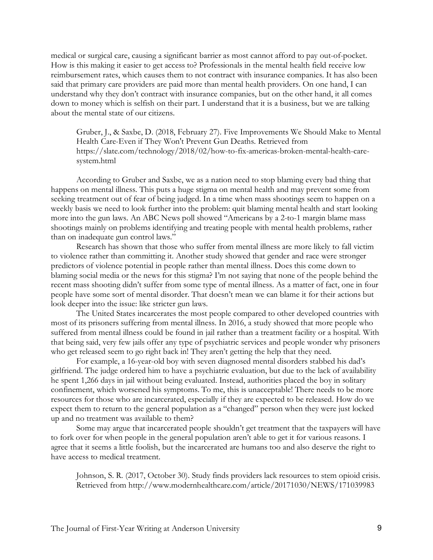medical or surgical care, causing a significant barrier as most cannot afford to pay out-of-pocket. How is this making it easier to get access to? Professionals in the mental health field receive low reimbursement rates, which causes them to not contract with insurance companies. It has also been said that primary care providers are paid more than mental health providers. On one hand, I can understand why they don't contract with insurance companies, but on the other hand, it all comes down to money which is selfish on their part. I understand that it is a business, but we are talking about the mental state of our citizens.

Gruber, J., & Saxbe, D. (2018, February 27). Five Improvements We Should Make to Mental Health Care-Even if They Won't Prevent Gun Deaths. Retrieved from https://slate.com/technology/2018/02/how-to-fix-americas-broken-mental-health-caresystem.html

According to Gruber and Saxbe, we as a nation need to stop blaming every bad thing that happens on mental illness. This puts a huge stigma on mental health and may prevent some from seeking treatment out of fear of being judged. In a time when mass shootings seem to happen on a weekly basis we need to look further into the problem: quit blaming mental health and start looking more into the gun laws. An ABC News poll showed "Americans by a 2-to-1 margin blame mass shootings mainly on problems identifying and treating people with mental health problems, rather than on inadequate gun control laws."

Research has shown that those who suffer from mental illness are more likely to fall victim to violence rather than committing it. Another study showed that gender and race were stronger predictors of violence potential in people rather than mental illness. Does this come down to blaming social media or the news for this stigma? I'm not saying that none of the people behind the recent mass shooting didn't suffer from some type of mental illness. As a matter of fact, one in four people have some sort of mental disorder. That doesn't mean we can blame it for their actions but look deeper into the issue: like stricter gun laws.

The United States incarcerates the most people compared to other developed countries with most of its prisoners suffering from mental illness. In 2016, a study showed that more people who suffered from mental illness could be found in jail rather than a treatment facility or a hospital. With that being said, very few jails offer any type of psychiatric services and people wonder why prisoners who get released seem to go right back in! They aren't getting the help that they need.

For example, a 16-year-old boy with seven diagnosed mental disorders stabbed his dad's girlfriend. The judge ordered him to have a psychiatric evaluation, but due to the lack of availability he spent 1,266 days in jail without being evaluated. Instead, authorities placed the boy in solitary confinement, which worsened his symptoms. To me, this is unacceptable! There needs to be more resources for those who are incarcerated, especially if they are expected to be released. How do we expect them to return to the general population as a "changed" person when they were just locked up and no treatment was available to them?

Some may argue that incarcerated people shouldn't get treatment that the taxpayers will have to fork over for when people in the general population aren't able to get it for various reasons. I agree that it seems a little foolish, but the incarcerated are humans too and also deserve the right to have access to medical treatment.

Johnson, S. R. (2017, October 30). Study finds providers lack resources to stem opioid crisis. Retrieved from http://www.modernhealthcare.com/article/20171030/NEWS/171039983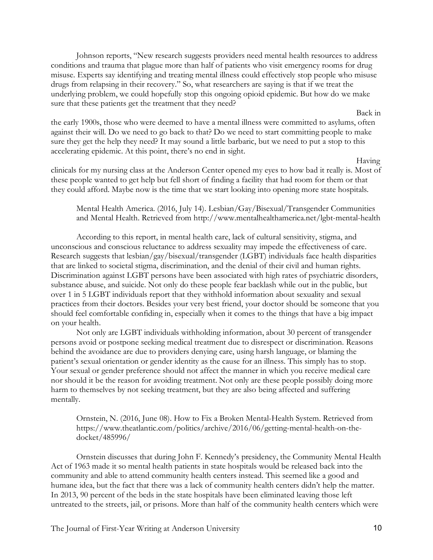Johnson reports, "New research suggests providers need mental health resources to address conditions and trauma that plague more than half of patients who visit emergency rooms for drug misuse. Experts say identifying and treating mental illness could effectively stop people who misuse drugs from relapsing in their recovery." So, what researchers are saying is that if we treat the underlying problem, we could hopefully stop this ongoing opioid epidemic. But how do we make sure that these patients get the treatment that they need?

the early 1900s, those who were deemed to have a mental illness were committed to asylums, often against their will. Do we need to go back to that? Do we need to start committing people to make sure they get the help they need? It may sound a little barbaric, but we need to put a stop to this accelerating epidemic. At this point, there's no end in sight.

Having

Back in

clinicals for my nursing class at the Anderson Center opened my eyes to how bad it really is. Most of these people wanted to get help but fell short of finding a facility that had room for them or that they could afford. Maybe now is the time that we start looking into opening more state hospitals.

Mental Health America. (2016, July 14). Lesbian/Gay/Bisexual/Transgender Communities and Mental Health. Retrieved from http://www.mentalhealthamerica.net/lgbt-mental-health

According to this report, in mental health care, lack of cultural sensitivity, stigma, and unconscious and conscious reluctance to address sexuality may impede the effectiveness of care. Research suggests that lesbian/gay/bisexual/transgender (LGBT) individuals face health disparities that are linked to societal stigma, discrimination, and the denial of their civil and human rights. Discrimination against LGBT persons have been associated with high rates of psychiatric disorders, substance abuse, and suicide. Not only do these people fear backlash while out in the public, but over 1 in 5 LGBT individuals report that they withhold information about sexuality and sexual practices from their doctors. Besides your very best friend, your doctor should be someone that you should feel comfortable confiding in, especially when it comes to the things that have a big impact on your health.

Not only are LGBT individuals withholding information, about 30 percent of transgender persons avoid or postpone seeking medical treatment due to disrespect or discrimination. Reasons behind the avoidance are due to providers denying care, using harsh language, or blaming the patient's sexual orientation or gender identity as the cause for an illness. This simply has to stop. Your sexual or gender preference should not affect the manner in which you receive medical care nor should it be the reason for avoiding treatment. Not only are these people possibly doing more harm to themselves by not seeking treatment, but they are also being affected and suffering mentally.

Ornstein, N. (2016, June 08). How to Fix a Broken Mental-Health System. Retrieved from https://www.theatlantic.com/politics/archive/2016/06/getting-mental-health-on-thedocket/485996/

Ornstein discusses that during John F. Kennedy's presidency, the Community Mental Health Act of 1963 made it so mental health patients in state hospitals would be released back into the community and able to attend community health centers instead. This seemed like a good and humane idea, but the fact that there was a lack of community health centers didn't help the matter. In 2013, 90 percent of the beds in the state hospitals have been eliminated leaving those left untreated to the streets, jail, or prisons. More than half of the community health centers which were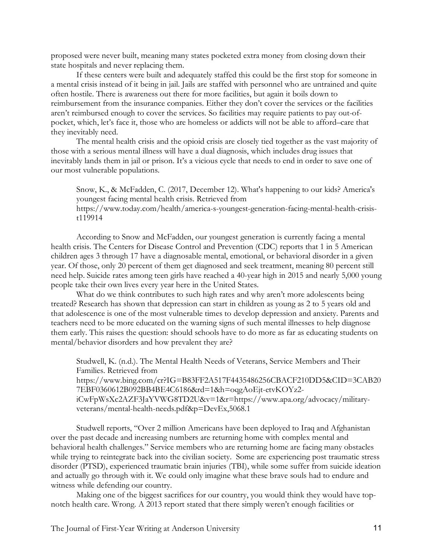proposed were never built, meaning many states pocketed extra money from closing down their state hospitals and never replacing them.

If these centers were built and adequately staffed this could be the first stop for someone in a mental crisis instead of it being in jail. Jails are staffed with personnel who are untrained and quite often hostile. There is awareness out there for more facilities, but again it boils down to reimbursement from the insurance companies. Either they don't cover the services or the facilities aren't reimbursed enough to cover the services. So facilities may require patients to pay out-ofpocket, which, let's face it, those who are homeless or addicts will not be able to afford–care that they inevitably need.

The mental health crisis and the opioid crisis are closely tied together as the vast majority of those with a serious mental illness will have a dual diagnosis, which includes drug issues that inevitably lands them in jail or prison. It's a vicious cycle that needs to end in order to save one of our most vulnerable populations.

Snow, K., & McFadden, C. (2017, December 12). What's happening to our kids? America's youngest facing mental health crisis. Retrieved from https://www.today.com/health/america-s-youngest-generation-facing-mental-health-crisist119914

According to Snow and McFadden, our youngest generation is currently facing a mental health crisis. The Centers for Disease Control and Prevention (CDC) reports that 1 in 5 American children ages 3 through 17 have a diagnosable mental, emotional, or behavioral disorder in a given year. Of those, only 20 percent of them get diagnosed and seek treatment, meaning 80 percent still need help. Suicide rates among teen girls have reached a 40-year high in 2015 and nearly 5,000 young people take their own lives every year here in the United States.

What do we think contributes to such high rates and why aren't more adolescents being treated? Research has shown that depression can start in children as young as 2 to 5 years old and that adolescence is one of the most vulnerable times to develop depression and anxiety. Parents and teachers need to be more educated on the warning signs of such mental illnesses to help diagnose them early. This raises the question: should schools have to do more as far as educating students on mental/behavior disorders and how prevalent they are?

Studwell, K. (n.d.). The Mental Health Needs of Veterans, Service Members and Their Families. Retrieved from https://www.bing.com/cr?IG=B83FF2A517F4435486256CBACF210DD5&CID=3CAB20 7EBF0360612B092BB4BE4C6186&rd=1&h=oqgAoEjt-etvKOYz2 iCwFpWsXc2AZF3JaYVWG8TD2U&v=1&r=https://www.apa.org/advocacy/militaryveterans/mental-health-needs.pdf&p=DevEx,5068.1

Studwell reports, "Over 2 million Americans have been deployed to Iraq and Afghanistan over the past decade and increasing numbers are returning home with complex mental and behavioral health challenges." Service members who are returning home are facing many obstacles while trying to reintegrate back into the civilian society. Some are experiencing post traumatic stress disorder (PTSD), experienced traumatic brain injuries (TBI), while some suffer from suicide ideation and actually go through with it. We could only imagine what these brave souls had to endure and witness while defending our country.

Making one of the biggest sacrifices for our country, you would think they would have topnotch health care. Wrong. A 2013 report stated that there simply weren't enough facilities or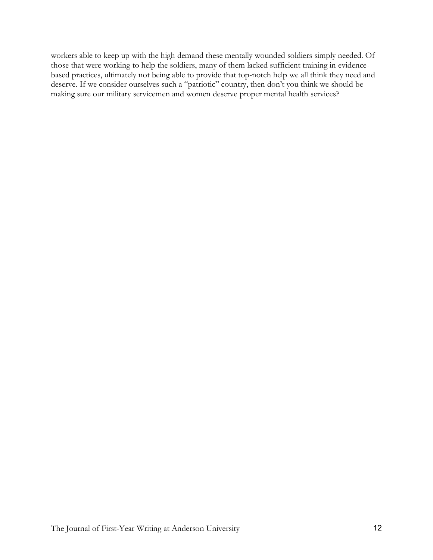workers able to keep up with the high demand these mentally wounded soldiers simply needed. Of those that were working to help the soldiers, many of them lacked sufficient training in evidencebased practices, ultimately not being able to provide that top-notch help we all think they need and deserve. If we consider ourselves such a "patriotic" country, then don't you think we should be making sure our military servicemen and women deserve proper mental health services?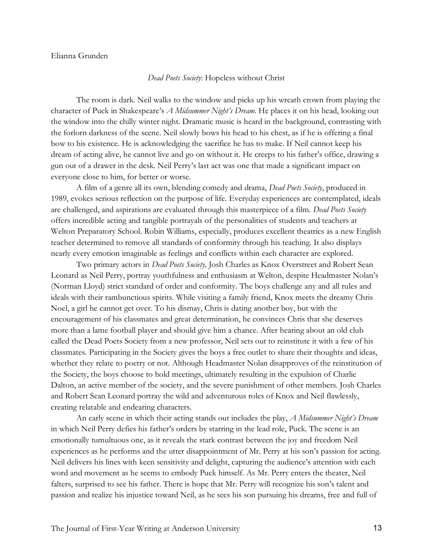## Elianna Grunden

## *Dead Poets Society*: Hopeless without Christ

The room is dark. Neil walks to the window and picks up his wreath crown from playing the character of Puck in Shakespeare's *A Midsummer Night's Dream*. He places it on his head, looking out the window into the chilly winter night. Dramatic music is heard in the background, contrasting with the forlorn darkness of the scene. Neil slowly bows his head to his chest, as if he is offering a final bow to his existence. He is acknowledging the sacrifice he has to make. If Neil cannot keep his dream of acting alive, he cannot live and go on without it. He creeps to his father's office, drawing a gun out of a drawer in the desk. Neil Perry's last act was one that made a significant impact on everyone close to him, for better or worse.

A film of a genre all its own, blending comedy and drama, *Dead Poets Society*, produced in 1989, evokes serious reflection on the purpose of life. Everyday experiences are contemplated, ideals are challenged, and aspirations are evaluated through this masterpiece of a film. *Dead Poets Society* offers incredible acting and tangible portrayals of the personalities of students and teachers at Welton Preparatory School. Robin Williams, especially, produces excellent theatrics as a new English teacher determined to remove all standards of conformity through his teaching. It also displays nearly every emotion imaginable as feelings and conflicts within each character are explored.

Two primary actors in *Dead Poets Society,* Josh Charles as Knox Overstreet and Robert Sean Leonard as Neil Perry, portray youthfulness and enthusiasm at Welton, despite Headmaster Nolan's (Norman Lloyd) strict standard of order and conformity. The boys challenge any and all rules and ideals with their rambunctious spirits. While visiting a family friend, Knox meets the dreamy Chris Noel, a girl he cannot get over. To his dismay, Chris is dating another boy, but with the encouragement of his classmates and great determination, he convinces Chris that she deserves more than a lame football player and should give him a chance. After hearing about an old club called the Dead Poets Society from a new professor, Neil sets out to reinstitute it with a few of his classmates. Participating in the Society gives the boys a free outlet to share their thoughts and ideas, whether they relate to poetry or not. Although Headmaster Nolan disapproves of the reinstitution of the Society, the boys choose to hold meetings, ultimately resulting in the expulsion of Charlie Dalton, an active member of the society, and the severe punishment of other members. Josh Charles and Robert Sean Leonard portray the wild and adventurous roles of Knox and Neil flawlessly, creating relatable and endearing characters.

An early scene in which their acting stands out includes the play, *A Midsummer Night's Dream* in which Neil Perry defies his father's orders by starring in the lead role, Puck. The scene is an emotionally tumultuous one, as it reveals the stark contrast between the joy and freedom Neil experiences as he performs and the utter disappointment of Mr. Perry at his son's passion for acting. Neil delivers his lines with keen sensitivity and delight, capturing the audience's attention with each word and movement as he seems to embody Puck himself. As Mr. Perry enters the theater, Neil falters, surprised to see his father. There is hope that Mr. Perry will recognize his son's talent and passion and realize his injustice toward Neil, as he sees his son pursuing his dreams, free and full of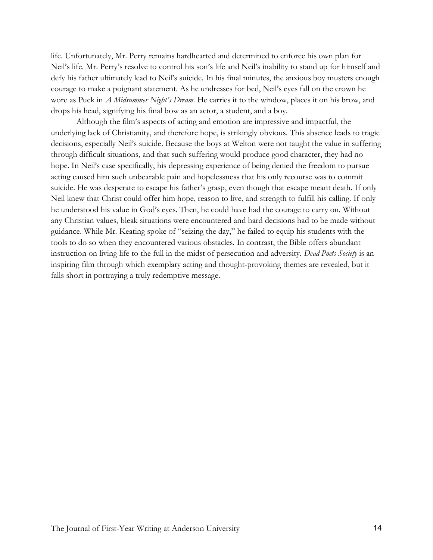life. Unfortunately, Mr. Perry remains hardhearted and determined to enforce his own plan for Neil's life. Mr. Perry's resolve to control his son's life and Neil's inability to stand up for himself and defy his father ultimately lead to Neil's suicide. In his final minutes, the anxious boy musters enough courage to make a poignant statement. As he undresses for bed, Neil's eyes fall on the crown he wore as Puck in *A Midsummer Night's Dream*. He carries it to the window, places it on his brow, and drops his head, signifying his final bow as an actor, a student, and a boy.

Although the film's aspects of acting and emotion are impressive and impactful, the underlying lack of Christianity, and therefore hope, is strikingly obvious. This absence leads to tragic decisions, especially Neil's suicide. Because the boys at Welton were not taught the value in suffering through difficult situations, and that such suffering would produce good character, they had no hope. In Neil's case specifically, his depressing experience of being denied the freedom to pursue acting caused him such unbearable pain and hopelessness that his only recourse was to commit suicide. He was desperate to escape his father's grasp, even though that escape meant death. If only Neil knew that Christ could offer him hope, reason to live, and strength to fulfill his calling. If only he understood his value in God's eyes. Then, he could have had the courage to carry on. Without any Christian values, bleak situations were encountered and hard decisions had to be made without guidance. While Mr. Keating spoke of "seizing the day," he failed to equip his students with the tools to do so when they encountered various obstacles. In contrast, the Bible offers abundant instruction on living life to the full in the midst of persecution and adversity. *Dead Poets Society* is an inspiring film through which exemplary acting and thought-provoking themes are revealed, but it falls short in portraying a truly redemptive message.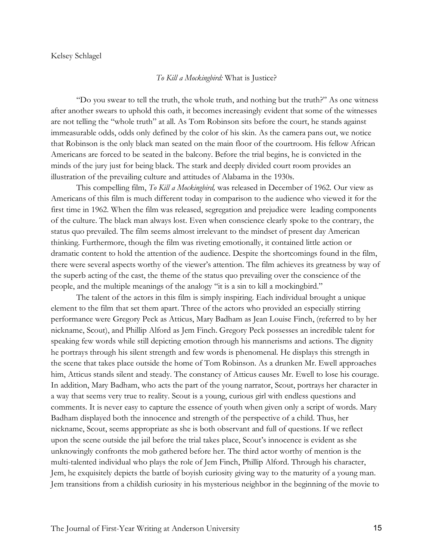#### Kelsey Schlagel

## *To Kill a Mockingbird:* What is Justice?

"Do you swear to tell the truth, the whole truth, and nothing but the truth?" As one witness after another swears to uphold this oath, it becomes increasingly evident that some of the witnesses are not telling the "whole truth" at all. As Tom Robinson sits before the court, he stands against immeasurable odds, odds only defined by the color of his skin. As the camera pans out, we notice that Robinson is the only black man seated on the main floor of the courtroom. His fellow African Americans are forced to be seated in the balcony. Before the trial begins, he is convicted in the minds of the jury just for being black. The stark and deeply divided court room provides an illustration of the prevailing culture and attitudes of Alabama in the 1930s.

This compelling film, *To Kill a Mockingbird,* was released in December of 1962. Our view as Americans of this film is much different today in comparison to the audience who viewed it for the first time in 1962. When the film was released, segregation and prejudice were leading components of the culture. The black man always lost. Even when conscience clearly spoke to the contrary, the status quo prevailed. The film seems almost irrelevant to the mindset of present day American thinking. Furthermore, though the film was riveting emotionally, it contained little action or dramatic content to hold the attention of the audience. Despite the shortcomings found in the film, there were several aspects worthy of the viewer's attention. The film achieves its greatness by way of the superb acting of the cast, the theme of the status quo prevailing over the conscience of the people, and the multiple meanings of the analogy "it is a sin to kill a mockingbird."

The talent of the actors in this film is simply inspiring. Each individual brought a unique element to the film that set them apart. Three of the actors who provided an especially stirring performance were Gregory Peck as Atticus, Mary Badham as Jean Louise Finch, (referred to by her nickname, Scout), and Phillip Alford as Jem Finch. Gregory Peck possesses an incredible talent for speaking few words while still depicting emotion through his mannerisms and actions. The dignity he portrays through his silent strength and few words is phenomenal. He displays this strength in the scene that takes place outside the home of Tom Robinson. As a drunken Mr. Ewell approaches him, Atticus stands silent and steady. The constancy of Atticus causes Mr. Ewell to lose his courage. In addition, Mary Badham, who acts the part of the young narrator, Scout, portrays her character in a way that seems very true to reality. Scout is a young, curious girl with endless questions and comments. It is never easy to capture the essence of youth when given only a script of words. Mary Badham displayed both the innocence and strength of the perspective of a child. Thus, her nickname, Scout, seems appropriate as she is both observant and full of questions. If we reflect upon the scene outside the jail before the trial takes place, Scout's innocence is evident as she unknowingly confronts the mob gathered before her. The third actor worthy of mention is the multi-talented individual who plays the role of Jem Finch, Phillip Alford. Through his character, Jem, he exquisitely depicts the battle of boyish curiosity giving way to the maturity of a young man. Jem transitions from a childish curiosity in his mysterious neighbor in the beginning of the movie to